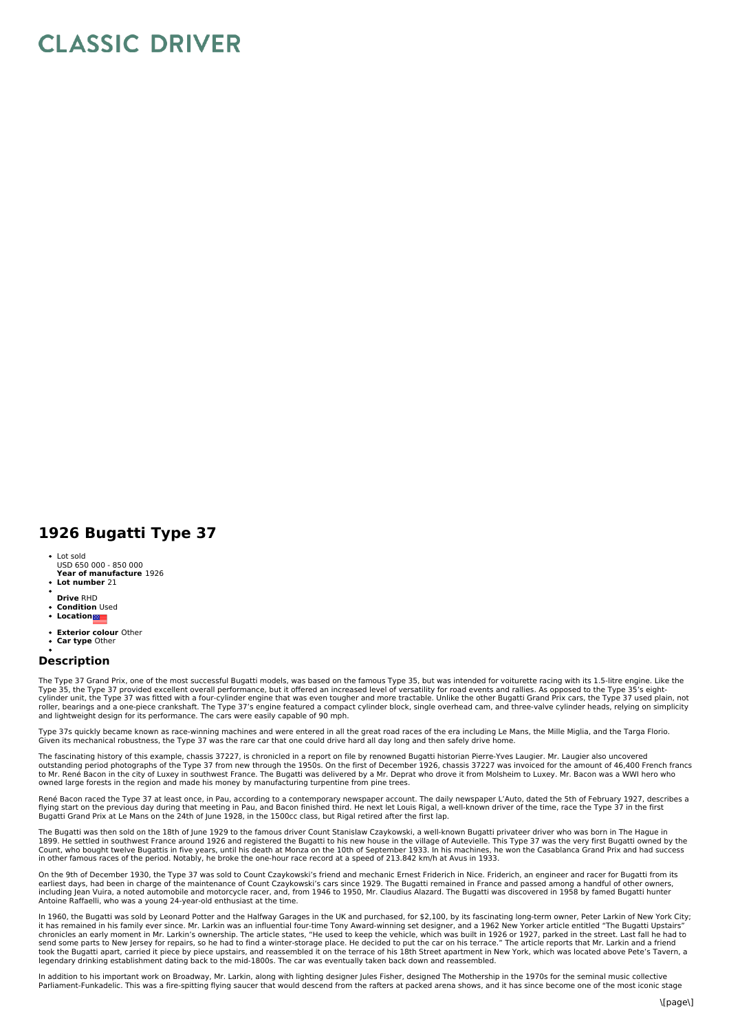## **CLASSIC DRIVER**

## **1926 Bugatti Type 37**

- Lot sold
- **Year of manufacture** 1926 USD 650 000 - 850 000
- **Lot number** 21
- **Drive** RHD
- **Condition** Used
- **Location**
- **Exterior colour** Other
- **Car type** Other

## **Description**

The Type 37 Grand Prix, one of the most successful Bugatti models, was based on the famous Type 35, but was intended for voiturette racing with its 1.5-litre engine. Like the<br>Type 35, the Type 37 provided excellent overall

Type 37s quickly became known as race-winning machines and were entered in all the great road races of the era including Le Mans, the Mille Miglia, and the Targa Florio. Given its mechanical robustness, the Type 37 was the rare car that one could drive hard all day long and then safely drive home.

The fascinating history of this example, chassis 37227, is chronicled in a report on file by renowned Bugatti historian Pierre-Yves Laugier. Mr. Laugier also uncovered outstanding period photographs of the Type 37 from new through the 1950s. On the first of December 1926, chassis 37227 was invoiced for the amount of 46,400 French francs<br>to Mr. René Bacon in the city of Luxey in southwest owned large forests in the region and made his money by manufacturing turpentine from pine trees.

René Bacon raced the Type 37 at least once, in Pau, according to a contemporary newspaper account. The daily newspaper L'Auto, dated the 5th of February 1927, describes a flying start on the previous day during that meeting in Pau, and Bacon finished third. He next let Louis Rigal, a well-known driver of the time, race the Type 37 in the first<br>Bugatti Grand Prix at Le Mans on the 24th of Ju

The Bugatti was then sold on the 18th of June 1929 to the famous driver Count Stanislaw Czaykowski, a well-known Bugatti privateer driver who was born in The Hague in 1899. He settled in southwest France around 1926 and registered the Bugatti to his new house in the village of Autevielle. This Type 37 was the very first Bugatti owned by the<br>Count, who bought twelve Bugattis in five year in other famous races of the period. Notably, he broke the one-hour race record at a speed of 213.842 km/h at Avus in 1933.

On the 9th of December 1930, the Type 37 was sold to Count Czaykowski's friend and mechanic Ernest Friderich in Nice. Friderich, an engineer and racer for Bugatti from its earliest days, had been in charge of the maintenance of Count Czaykowski's cars since 1929. The Bugatti remained in France and passed among a handful of other owners,<br>including Jean Vuira, a noted automobile and motorcycle Antoine Raffaelli, who was a young 24-year-old enthusiast at the time.

In 1960, the Bugatti was sold by Leonard Potter and the Halfway Garages in the UK and purchased, for \$2,100, by its fascinating long-term owner, Peter Larkin of New York City;<br>it has remained in his family ever since. Mr. chronicles an early moment in Mr. Larkin's ownership. The article states, "He used to keep the vehicle, which was built in 1926 or 1927, parked in the street. Last fall he had to<br>send some parts to New Jersey for repairs, took the Bugatti apart, carried it piece by piece upstairs, and reassembled it on the terrace of his 18th Street apartment in New York, which was located above Pete's Tavern, a<br>legendary drinking establishment dating back

In addition to his important work on Broadway, Mr. Larkin, along with lighting designer Jules Fisher, designed The Mothership in the 1970s for the seminal music collective Parliament-Funkadelic. This was a fire-spitting flying saucer that would descend from the rafters at packed arena shows, and it has since become one of the most iconic stage